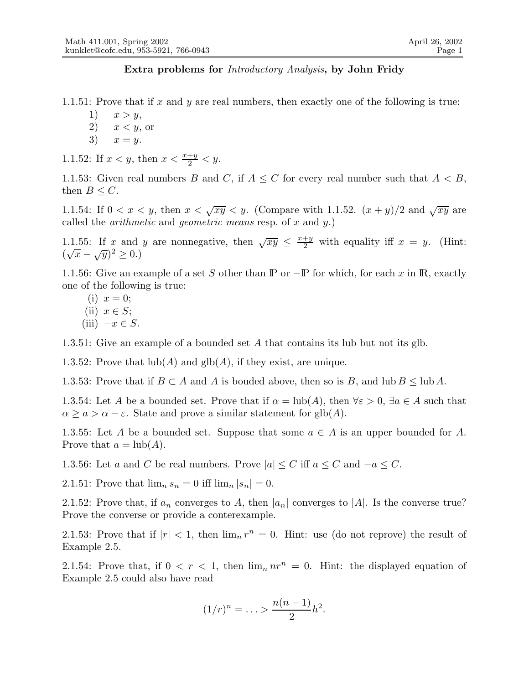## Extra problems for Introductory Analysis, by John Fridy

1.1.51: Prove that if x and y are real numbers, then exactly one of the following is true:

- 1)  $x > y$ ,
- 2)  $x < y$ , or
- 3)  $x = y$ .

1.1.52: If  $x < y$ , then  $x < \frac{x+y}{2} < y$ .

1.1.53: Given real numbers B and C, if  $A \leq C$  for every real number such that  $A < B$ , then  $B \leq C$ .

1.1.54: If  $0 < x < y$ , then  $x < \sqrt{xy} < y$ . (Compare with 1.1.52.  $(x + y)/2$  and  $\sqrt{xy}$  are called the *arithmetic* and *geometric means* resp. of x and y.)

1.1.55: If x and y are nonnegative, then  $\sqrt{xy} \leq \frac{x+y}{2}$  with equality iff  $x = y$ . (Hint:  $(\sqrt{x} - \sqrt{y})^2 \ge 0.)$ 

1.1.56: Give an example of a set S other than  $\mathbb P$  or  $-\mathbb P$  for which, for each x in  $\mathbb R$ , exactly one of the following is true:

(i)  $x = 0$ ; (ii)  $x \in S$ ; (iii)  $-x \in S$ .

1.3.51: Give an example of a bounded set A that contains its lub but not its glb.

1.3.52: Prove that  $\text{lub}(A)$  and  $\text{glb}(A)$ , if they exist, are unique.

1.3.53: Prove that if  $B \subset A$  and A is bouded above, then so is B, and lub  $B \leq \text{lub }A$ .

1.3.54: Let A be a bounded set. Prove that if  $\alpha = \text{lub}(A)$ , then  $\forall \varepsilon > 0$ ,  $\exists a \in A$  such that  $\alpha \geq a > \alpha - \varepsilon$ . State and prove a similar statement for glb(A).

1.3.55: Let A be a bounded set. Suppose that some  $a \in A$  is an upper bounded for A. Prove that  $a = \text{lub}(A)$ .

1.3.56: Let a and C be real numbers. Prove  $|a| \leq C$  iff  $a \leq C$  and  $-a \leq C$ .

2.1.51: Prove that  $\lim_{n} s_n = 0$  iff  $\lim_{n} |s_n| = 0$ .

2.1.52: Prove that, if  $a_n$  converges to A, then  $|a_n|$  converges to |A|. Is the converse true? Prove the converse or provide a conterexample.

2.1.53: Prove that if  $|r| < 1$ , then  $\lim_{n} r^{n} = 0$ . Hint: use (do not reprove) the result of Example 2.5.

2.1.54: Prove that, if  $0 < r < 1$ , then  $\lim_n nr^n = 0$ . Hint: the displayed equation of Example 2.5 could also have read

$$
(1/r)^n = \ldots > \frac{n(n-1)}{2}h^2.
$$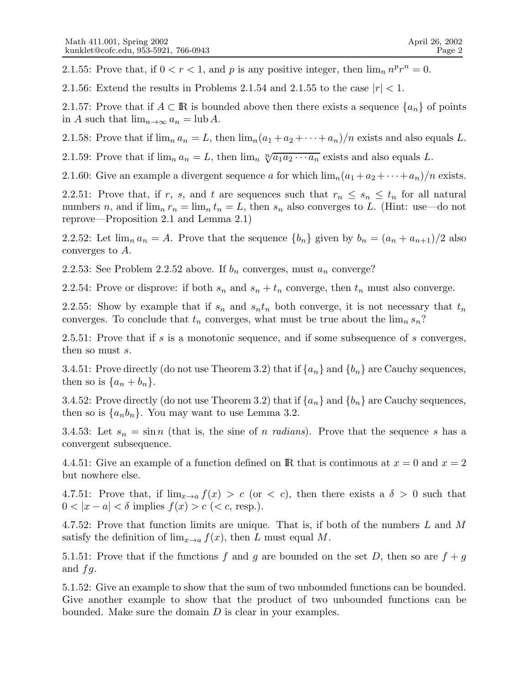2.1.55: Prove that, if  $0 < r < 1$ , and p is any positive integer, then  $\lim_{n} n^{p} r^{n} = 0$ .

2.1.56: Extend the results in Problems 2.1.54 and 2.1.55 to the case  $|r| < 1$ .

2.1.57: Prove that if  $A \subset \mathbb{R}$  is bounded above then there exists a sequence  $\{a_n\}$  of points in A such that  $\lim_{n\to\infty} a_n = \text{lub } A$ .

2.1.58: Prove that if  $\lim_{n} a_n = L$ , then  $\lim_{n} (a_1 + a_2 + \cdots + a_n)/n$  exists and also equals L.

2.1.59: Prove that if  $\lim_{n} a_n = L$ , then  $\lim_{n} \sqrt[n]{a_1 a_2 \cdots a_n}$  exists and also equals L.

2.1.60: Give an example a divergent sequence a for which  $\lim_{n}(a_1 + a_2 + \cdots + a_n)/n$  exists.

2.2.51: Prove that, if r, s, and t are sequences such that  $r_n \leq s_n \leq t_n$  for all natural numbers n, and if  $\lim_{n} r_n = \lim_{n} t_n = L$ , then  $s_n$  also converges to L. (Hint: use—do not reprove—Proposition 2.1 and Lemma 2.1)

2.2.52: Let  $\lim_{n} a_n = A$ . Prove that the sequence  $\{b_n\}$  given by  $b_n = (a_n + a_{n+1})/2$  also converges to A.

2.2.53: See Problem 2.2.52 above. If  $b_n$  converges, must  $a_n$  converge?

2.2.54: Prove or disprove: if both  $s_n$  and  $s_n + t_n$  converge, then  $t_n$  must also converge.

2.2.55: Show by example that if  $s_n$  and  $s_nt_n$  both converge, it is not necessary that  $t_n$ converges. To conclude that  $t_n$  converges, what must be true about the  $\lim_{n} s_n$ ?

2.5.51: Prove that if s is a monotonic sequence, and if some subsequence of s converges, then so must s.

3.4.51: Prove directly (do not use Theorem 3.2) that if  $\{a_n\}$  and  $\{b_n\}$  are Cauchy sequences, then so is  $\{a_n + b_n\}.$ 

3.4.52: Prove directly (do not use Theorem 3.2) that if  $\{a_n\}$  and  $\{b_n\}$  are Cauchy sequences, then so is  $\{a_nb_n\}$ . You may want to use Lemma 3.2.

3.4.53: Let  $s_n = \sin n$  (that is, the sine of n radians). Prove that the sequence s has a convergent subsequence.

4.4.51: Give an example of a function defined on R that is continuous at  $x = 0$  and  $x = 2$ but nowhere else.

4.7.51: Prove that, if  $\lim_{x\to a} f(x) > c$  (or  $\lt c$ ), then there exists a  $\delta > 0$  such that  $0 < |x - a| < \delta$  implies  $f(x) > c$  (< c, resp.).

4.7.52: Prove that function limits are unique. That is, if both of the numbers L and M satisfy the definition of  $\lim_{x\to a} f(x)$ , then L must equal M.

5.1.51: Prove that if the functions f and g are bounded on the set D, then so are  $f + g$ and  $fg$ .

5.1.52: Give an example to show that the sum of two unbounded functions can be bounded. Give another example to show that the product of two unbounded functions can be bounded. Make sure the domain D is clear in your examples.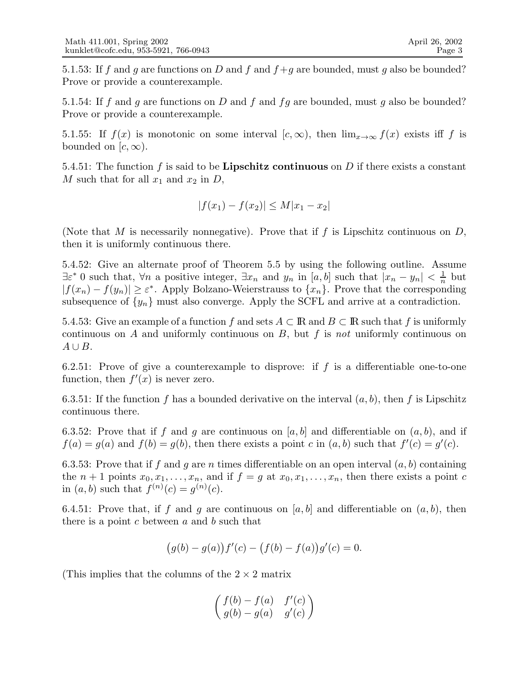5.1.53: If f and g are functions on D and f and  $f + g$  are bounded, must g also be bounded? Prove or provide a counterexample.

5.1.54: If f and g are functions on D and f and fg are bounded, must g also be bounded? Prove or provide a counterexample.

5.1.55: If  $f(x)$  is monotonic on some interval  $[c, \infty)$ , then  $\lim_{x\to\infty} f(x)$  exists iff f is bounded on  $[c, \infty)$ .

5.4.51: The function f is said to be **Lipschitz continuous** on D if there exists a constant M such that for all  $x_1$  and  $x_2$  in D,

$$
|f(x_1) - f(x_2)| \le M|x_1 - x_2|
$$

(Note that M is necessarily nonnegative). Prove that if f is Lipschitz continuous on  $D$ , then it is uniformly continuous there.

5.4.52: Give an alternate proof of Theorem 5.5 by using the following outline. Assume  $\exists \varepsilon^* \neq 0$  such that,  $\forall n$  a positive integer,  $\exists x_n$  and  $y_n$  in  $[a, b]$  such that  $|x_n - y_n| < \frac{1}{n}$  $\frac{1}{n}$  but  $|f(x_n) - f(y_n)| \ge \varepsilon^*$ . Apply Bolzano-Weierstrauss to  $\{x_n\}$ . Prove that the corresponding subsequence of  $\{y_n\}$  must also converge. Apply the SCFL and arrive at a contradiction.

5.4.53: Give an example of a function f and sets  $A \subset \mathbb{R}$  and  $B \subset \mathbb{R}$  such that f is uniformly continuous on  $A$  and uniformly continuous on  $B$ , but  $f$  is not uniformly continuous on  $A \cup B$ .

6.2.51: Prove of give a counterexample to disprove: if f is a differentiable one-to-one function, then  $f'(x)$  is never zero.

6.3.51: If the function f has a bounded derivative on the interval  $(a, b)$ , then f is Lipschitz continuous there.

6.3.52: Prove that if f and g are continuous on [a, b] and differentiable on  $(a, b)$ , and if  $f(a) = g(a)$  and  $f(b) = g(b)$ , then there exists a point c in  $(a, b)$  such that  $f'(c) = g'(c)$ .

6.3.53: Prove that if f and g are n times differentiable on an open interval  $(a, b)$  containing the  $n+1$  points  $x_0, x_1, \ldots, x_n$ , and if  $f = g$  at  $x_0, x_1, \ldots, x_n$ , then there exists a point c in  $(a, b)$  such that  $f^{(n)}(c) = g^{(n)}(c)$ .

6.4.51: Prove that, if f and g are continuous on [a, b] and differentiable on  $(a, b)$ , then there is a point  $c$  between  $a$  and  $b$  such that

$$
(g(b) - g(a))f'(c) - (f(b) - f(a))g'(c) = 0.
$$

(This implies that the columns of the  $2 \times 2$  matrix

$$
\begin{pmatrix} f(b) - f(a) & f'(c) \\ g(b) - g(a) & g'(c) \end{pmatrix}
$$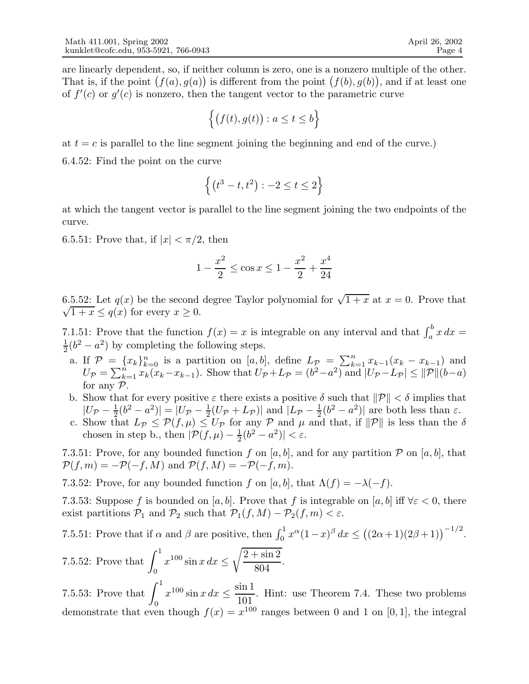are linearly dependent, so, if neither column is zero, one is a nonzero multiple of the other. That is, if the point  $(f(a), g(a))$  is different from the point  $(f(b), g(b))$ , and if at least one of  $f'(c)$  or  $g'(c)$  is nonzero, then the tangent vector to the parametric curve

$$
\Big\{\big(f(t),g(t)\big):a\leq t\leq b\Big\}
$$

at  $t = c$  is parallel to the line segment joining the beginning and end of the curve.

6.4.52: Find the point on the curve

$$
\left\{ \left( t^{3}-t,t^{2}\right) : -2\leq t\leq 2\right\}
$$

at which the tangent vector is parallel to the line segment joining the two endpoints of the curve.

6.5.51: Prove that, if  $|x| < \pi/2$ , then

$$
1 - \frac{x^2}{2} \le \cos x \le 1 - \frac{x^2}{2} + \frac{x^4}{24}
$$

6.5.52: Let  $q(x)$  be the second degree Taylor polynomial for  $\sqrt{1+x}$  at  $x=0$ . Prove that  $\sqrt{1+x} \leq q(x)$  for every  $x \geq 0$ .

7.1.51: Prove that the function  $f(x) = x$  is integrable on any interval and that  $\int_a^b x dx =$ 1  $\frac{1}{2}(b^2 - a^2)$  by completing the following steps.

- a. If  $\mathcal{P} = \{x_k\}_{k=0}^n$  is a partition on  $[a, b]$ , define  $L_{\mathcal{P}} = \sum_{k=1}^n x_{k-1}(x_k x_{k-1})$  and  $U_{\mathcal{P}} = \sum_{k=1}^{n} x_k (x_k - x_{k-1})$ . Show that  $U_{\mathcal{P}} + L_{\mathcal{P}} = (b^2 - a^2)$  and  $|U_{\mathcal{P}} - L_{\mathcal{P}}| \le ||\mathcal{P}||(b-a)$ for any  $P$ .
- b. Show that for every positive  $\varepsilon$  there exists a positive  $\delta$  such that  $\|\mathcal{P}\| < \delta$  implies that  $|U_{\mathcal{P}}-\frac{1}{2}|$  $|\frac{1}{2}(b^2-a^2)|=|U_{\mathcal{P}}-\frac{1}{2}|$  $\frac{1}{2}(U_{\mathcal{P}}+L_{\mathcal{P}})|$  and  $|L_{\mathcal{P}}-\frac{1}{2}|$  $\frac{1}{2}(b^2 - a^2)$  are both less than  $\varepsilon$ .
- c. Show that  $L_{\mathcal{P}} \leq \mathcal{P}(f,\mu) \leq U_{\mathcal{P}}$  for any  $\mathcal{P}$  and  $\mu$  and that, if  $\|\mathcal{P}\|$  is less than the  $\delta$ chosen in step b., then  $\left| \mathcal{P}(f, \mu) - \frac{1}{2} \right|$  $\frac{1}{2}(b^2-a^2)|<\varepsilon.$

7.3.51: Prove, for any bounded function f on [a, b], and for any partition  $P$  on [a, b], that  $\mathcal{P}(f,m) = -\mathcal{P}(-f,M)$  and  $\mathcal{P}(f,M) = -\mathcal{P}(-f,m)$ .

7.3.52: Prove, for any bounded function f on [a, b], that  $\Lambda(f) = -\lambda(-f)$ .

7.3.53: Suppose f is bounded on [a, b]. Prove that f is integrable on [a, b] iff  $\forall \varepsilon < 0$ , there exist partitions  $P_1$  and  $P_2$  such that  $P_1(f, M) - P_2(f, m) < \varepsilon$ .

7.5.51: Prove that if 
$$
\alpha
$$
 and  $\beta$  are positive, then  $\int_0^1 x^{\alpha} (1-x)^{\beta} dx \le ((2\alpha+1)(2\beta+1))^{-1/2}$ .

7.5.52: Prove that 
$$
\int_0^1 x^{100} \sin x \, dx \le \sqrt{\frac{2 + \sin 2}{804}}.
$$

7.5.53: Prove that  $\int_1^1$ 0  $x^{100} \sin x \, dx \leq \frac{\sin 1}{101}$ 101 . Hint: use Theorem 7.4. These two problems demonstrate that even though  $f(x) = x^{100}$  ranges between 0 and 1 on [0, 1], the integral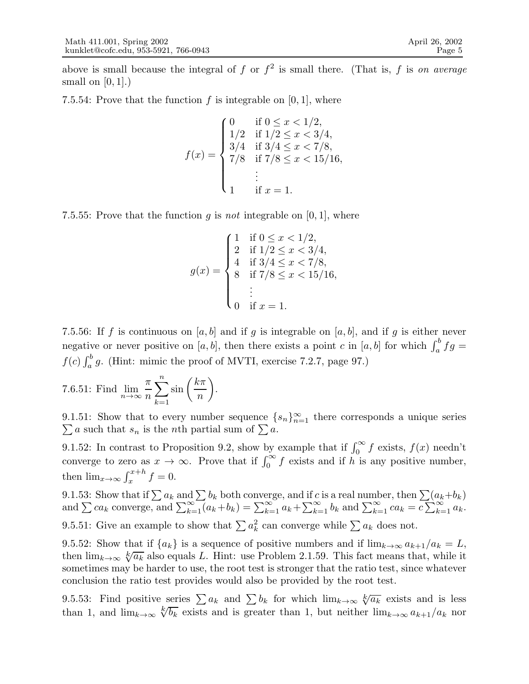above is small because the integral of f or  $f^2$  is small there. (That is, f is on average small on  $[0, 1]$ .)

7.5.54: Prove that the function f is integrable on  $[0, 1]$ , where

$$
f(x) = \begin{cases} 0 & \text{if } 0 \le x < 1/2, \\ 1/2 & \text{if } 1/2 \le x < 3/4, \\ 3/4 & \text{if } 3/4 \le x < 7/8, \\ 7/8 & \text{if } 7/8 \le x < 15/16, \\ & \vdots \\ 1 & \text{if } x = 1. \end{cases}
$$

7.5.55: Prove that the function q is not integrable on  $[0, 1]$ , where

$$
g(x) = \begin{cases} 1 & \text{if } 0 \le x < 1/2, \\ 2 & \text{if } 1/2 \le x < 3/4, \\ 4 & \text{if } 3/4 \le x < 7/8, \\ 8 & \text{if } 7/8 \le x < 15/16, \\ 0 & \text{if } x = 1. \end{cases}
$$

7.5.56: If f is continuous on [a, b] and if g is integrable on [a, b], and if g is either never negative or never positive on [a, b], then there exists a point c in [a, b] for which  $\int_a^b fg =$  $f(c) \int_a^b g$ . (Hint: mimic the proof of MVTI, exercise 7.2.7, page 97.)

7.6.51: Find 
$$
\lim_{n \to \infty} \frac{\pi}{n} \sum_{k=1}^{n} \sin\left(\frac{k\pi}{n}\right)
$$
.

9.1.51: Show that to every number sequence  $\{s_n\}_{n=1}^{\infty}$  there corresponds a unique series  $\sum a$  such that  $s_n$  is the *n*th partial sum of  $\sum a$ .

9.1.52: In contrast to Proposition 9.2, show by example that if  $\int_0^\infty f$  exists,  $f(x)$  needn't converge to zero as  $x \to \infty$ . Prove that if  $\int_0^\infty f$  exists and if h is any positive number, then  $\lim_{x\to\infty} \int_x^{x+h} f = 0.$ 

9.1.53: Show that if  $\sum a_k$  and  $\sum b_k$  both converge, and if c is a real number, then  $\sum(a_k+b_k)$ and  $\sum ca_k$  converge, and  $\sum_{k=1}^{\infty} (a_k+b_k) = \sum_{k=1}^{\infty} a_k + \sum_{k=1}^{\infty} b_k$  and  $\sum_{k=1}^{\infty} ca_k = c \sum_{k=1}^{\infty} a_k$ . 9.5.51: Give an example to show that  $\sum a_k^2$  can converge while  $\sum a_k$  does not.

9.5.52: Show that if  ${a_k}$  is a sequence of positive numbers and if  $\lim_{k\to\infty} a_{k+1}/a_k = L$ , then  $\lim_{k\to\infty} \sqrt[k]{a_k}$  also equals L. Hint: use Problem 2.1.59. This fact means that, while it sometimes may be harder to use, the root test is stronger that the ratio test, since whatever conclusion the ratio test provides would also be provided by the root test.

9.5.53: Find positive series  $\sum a_k$  and  $\sum b_k$  for which  $\lim_{k\to\infty} \sqrt[k]{a_k}$  exists and is less than 1, and  $\lim_{k\to\infty} \sqrt[k]{b_k}$  exists and is greater than 1, but neither  $\lim_{k\to\infty} a_{k+1}/a_k$  nor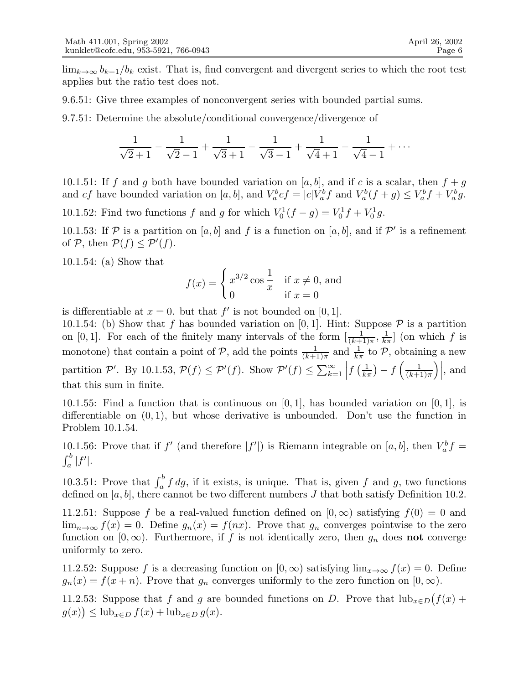$\lim_{k\to\infty} b_{k+1}/b_k$  exist. That is, find convergent and divergent series to which the root test applies but the ratio test does not.

9.6.51: Give three examples of nonconvergent series with bounded partial sums.

9.7.51: Determine the absolute/conditional convergence/divergence of

$$
\frac{1}{\sqrt{2}+1} - \frac{1}{\sqrt{2}-1} + \frac{1}{\sqrt{3}+1} - \frac{1}{\sqrt{3}-1} + \frac{1}{\sqrt{4}+1} - \frac{1}{\sqrt{4}-1} + \cdots
$$

10.1.51: If f and g both have bounded variation on  $[a, b]$ , and if c is a scalar, then  $f + g$ and cf have bounded variation on [a, b], and  $V_a^bcf = |c|V_a^bf$  and  $V_a^b(f+g) \leq V_a^bf + V_a^bg$ .

10.1.52: Find two functions f and g for which  $V_0^1(f - g) = V_0^1 f + V_0^1 g$ .

10.1.53: If  $P$  is a partition on [a, b] and f is a function on [a, b], and if  $P'$  is a refinement of  $P$ , then  $P(f) \leq P'(f)$ .

10.1.54: (a) Show that

$$
f(x) = \begin{cases} x^{3/2} \cos \frac{1}{x} & \text{if } x \neq 0, \text{ and} \\ 0 & \text{if } x = 0 \end{cases}
$$

is differentiable at  $x = 0$ . but that  $f'$  is not bounded on [0, 1].

10.1.54: (b) Show that f has bounded variation on [0, 1]. Hint: Suppose  $P$  is a partition on [0, 1]. For each of the finitely many intervals of the form  $\left[\frac{1}{(k+1)\pi}, \frac{1}{k\pi}\right]$  (on which f is monotone) that contain a point of P, add the points  $\frac{1}{(k+1)\pi}$  and  $\frac{1}{k\pi}$  to P, obtaining a new partition P'. By 10.1.53,  $\mathcal{P}(f) \leq \mathcal{P}'(f)$ . Show  $\mathcal{P}'(f) \leq \sum_{k=1}^{\infty}$  $\left|f\left(\frac{1}{k\pi}\right) - f\left(\frac{1}{(k+1)}\right)\right|$  $(k+1)\pi$  $\Big), \text{ and}$ that this sum in finite.

10.1.55: Find a function that is continuous on  $[0, 1]$ , has bounded variation on  $[0, 1]$ , is differentiable on  $(0, 1)$ , but whose derivative is unbounded. Don't use the function in Problem 10.1.54.

10.1.56: Prove that if f' (and therefore  $|f'|$ ) is Riemann integrable on [a, b], then  $V_a^b f =$  $\int_a^b |f'|.$ 

10.3.51: Prove that  $\int_a^b f \, dg$ , if it exists, is unique. That is, given f and g, two functions defined on  $[a, b]$ , there cannot be two different numbers J that both satisfy Definition 10.2.

11.2.51: Suppose f be a real-valued function defined on  $[0, \infty)$  satisfying  $f(0) = 0$  and  $\lim_{n\to\infty} f(x) = 0$ . Define  $g_n(x) = f(nx)$ . Prove that  $g_n$  converges pointwise to the zero function on [0,  $\infty$ ). Furthermore, if f is not identically zero, then  $g_n$  does **not** converge uniformly to zero.

11.2.52: Suppose f is a decreasing function on  $[0, \infty)$  satisfying  $\lim_{x\to\infty} f(x) = 0$ . Define  $g_n(x) = f(x+n)$ . Prove that  $g_n$  converges uniformly to the zero function on  $[0, \infty)$ .

11.2.53: Suppose that f and g are bounded functions on D. Prove that  $\text{lub}_{x\in D}(f(x) +$  $g(x)$ )  $\leq$  lub<sub>x∈D</sub>  $f(x)$  + lub<sub>x∈D</sub>  $g(x)$ .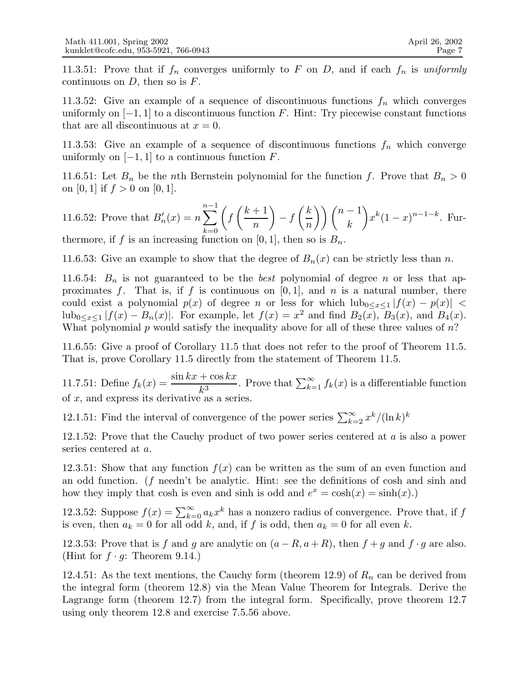11.3.51: Prove that if  $f_n$  converges uniformly to F on D, and if each  $f_n$  is uniformly continuous on  $D$ , then so is  $F$ .

11.3.52: Give an example of a sequence of discontinuous functions  $f_n$  which converges uniformly on  $[-1, 1]$  to a discontinuous function F. Hint: Try piecewise constant functions that are all discontinuous at  $x = 0$ .

11.3.53: Give an example of a sequence of discontinuous functions  $f_n$  which converge uniformly on  $[-1, 1]$  to a continuous function  $F$ .

11.6.51: Let  $B_n$  be the *n*th Bernstein polynomial for the function f. Prove that  $B_n > 0$ on [0, 1] if  $f > 0$  on [0, 1].

11.6.52: Prove that 
$$
B'_n(x) = n \sum_{k=0}^{n-1} \left( f\left(\frac{k+1}{n}\right) - f\left(\frac{k}{n}\right) \right) {n-1 \choose k} x^k (1-x)^{n-1-k}
$$
. Furthermore, if  $f$  is an increasing function on  $[0, 1]$ , then so is  $B_n$ .

11.6.53: Give an example to show that the degree of  $B_n(x)$  can be strictly less than n.

11.6.54:  $B_n$  is not guaranteed to be the *best* polynomial of degree n or less that approximates f. That is, if f is continuous on  $[0, 1]$ , and n is a natural number, there could exist a polynomial  $p(x)$  of degree n or less for which  $\left| \text{ub}_{0 \leq x \leq 1} |f(x) - p(x)| \right|$  $\text{lub}_{0 \leq x \leq 1} |f(x) - B_n(x)|$ . For example, let  $f(x) = x^2$  and find  $B_2(x)$ ,  $B_3(x)$ , and  $B_4(x)$ . What polynomial  $p$  would satisfy the inequality above for all of these three values of  $n$ ?

11.6.55: Give a proof of Corollary 11.5 that does not refer to the proof of Theorem 11.5. That is, prove Corollary 11.5 directly from the statement of Theorem 11.5.

11.7.51: Define  $f_k(x) = \frac{\sin kx + \cos kx}{k^3}$ . Prove that  $\sum_{k=1}^{\infty} f_k(x)$  is a differentiable function of  $x$ , and express its derivative as a series.

12.1.51: Find the interval of convergence of the power series  $\sum_{k=2}^{\infty} x^k/(\ln k)^k$ 

12.1.52: Prove that the Cauchy product of two power series centered at  $a$  is also a power series centered at a.

12.3.51: Show that any function  $f(x)$  can be written as the sum of an even function and an odd function. (f needn't be analytic. Hint: see the definitions of cosh and sinh and how they imply that cosh is even and sinh is odd and  $e^x = \cosh(x) = \sinh(x)$ .

12.3.52: Suppose  $f(x) = \sum_{k=0}^{\infty} a_k x^k$  has a nonzero radius of convergence. Prove that, if f is even, then  $a_k = 0$  for all odd k, and, if f is odd, then  $a_k = 0$  for all even k.

12.3.53: Prove that is f and g are analytic on  $(a - R, a + R)$ , then  $f + g$  and  $f \cdot g$  are also. (Hint for  $f \cdot g$ : Theorem 9.14.)

12.4.51: As the text mentions, the Cauchy form (theorem 12.9) of  $R_n$  can be derived from the integral form (theorem 12.8) via the Mean Value Theorem for Integrals. Derive the Lagrange form (theorem 12.7) from the integral form. Specifically, prove theorem 12.7 using only theorem 12.8 and exercise 7.5.56 above.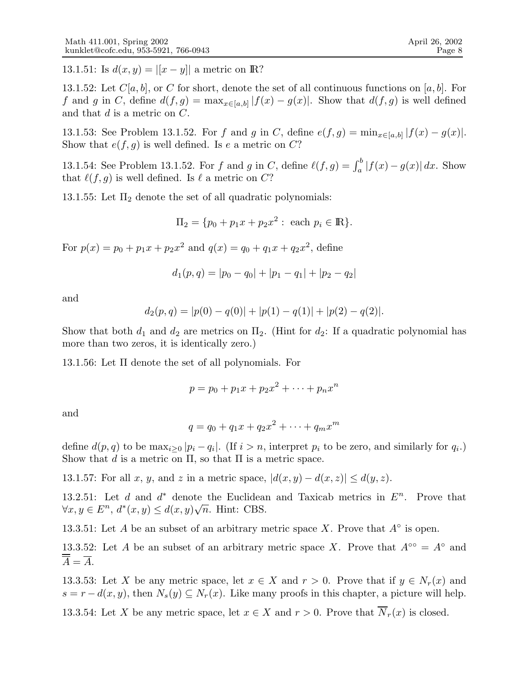13.1.51: Is  $d(x, y) = |[x - y]|$  a metric on R?

13.1.52: Let  $C[a, b]$ , or C for short, denote the set of all continuous functions on [a, b]. For f and g in C, define  $d(f, g) = \max_{x \in [a, b]} |f(x) - g(x)|$ . Show that  $d(f, g)$  is well defined and that  $d$  is a metric on  $C$ .

13.1.53: See Problem 13.1.52. For f and g in C, define  $e(f,g) = \min_{x \in [a,b]} |f(x) - g(x)|$ . Show that  $e(f, g)$  is well defined. Is e a metric on C?

13.1.54: See Problem 13.1.52. For f and g in C, define  $\ell(f,g) = \int_a^b |f(x) - g(x)| dx$ . Show that  $\ell(f, g)$  is well defined. Is  $\ell$  a metric on C?

13.1.55: Let  $\Pi_2$  denote the set of all quadratic polynomials:

$$
\Pi_2 = \{ p_0 + p_1 x + p_2 x^2 : \text{ each } p_i \in \mathbb{R} \}.
$$

For  $p(x) = p_0 + p_1 x + p_2 x^2$  and  $q(x) = q_0 + q_1 x + q_2 x^2$ , define

$$
d_1(p,q) = |p_0 - q_0| + |p_1 - q_1| + |p_2 - q_2|
$$

and

$$
d_2(p,q) = |p(0) - q(0)| + |p(1) - q(1)| + |p(2) - q(2)|.
$$

Show that both  $d_1$  and  $d_2$  are metrics on  $\Pi_2$ . (Hint for  $d_2$ : If a quadratic polynomial has more than two zeros, it is identically zero.)

13.1.56: Let Π denote the set of all polynomials. For

$$
p = p_0 + p_1 x + p_2 x^2 + \dots + p_n x^n
$$

and

$$
q = q_0 + q_1 x + q_2 x^2 + \dots + q_m x^m
$$

define  $d(p, q)$  to be  $\max_{i \geq 0} |p_i - q_i|$ . (If  $i > n$ , interpret  $p_i$  to be zero, and similarly for  $q_i$ .) Show that d is a metric on  $\Pi$ , so that  $\Pi$  is a metric space.

13.1.57: For all x, y, and z in a metric space,  $|d(x,y)-d(x,z)| \leq d(y,z)$ .

13.2.51: Let  $d$  and  $d^*$  denote the Euclidean and Taxicab metrics in  $E^n$ . Prove that  $\forall x, y \in E^n, d^*(x, y) \leq d(x, y)\sqrt{n}$ . Hint: CBS.

13.3.51: Let A be an subset of an arbitrary metric space X. Prove that  $A^{\circ}$  is open.

13.3.52: Let A be an subset of an arbitrary metric space X. Prove that  $A^{\circ\circ} = A^{\circ}$  and  $\overline{A} = \overline{A}$ .

13.3.53: Let X be any metric space, let  $x \in X$  and  $r > 0$ . Prove that if  $y \in N_r(x)$  and  $s = r - d(x, y)$ , then  $N_s(y) \subseteq N_r(x)$ . Like many proofs in this chapter, a picture will help.

13.3.54: Let X be any metric space, let  $x \in X$  and  $r > 0$ . Prove that  $\overline{N}_r(x)$  is closed.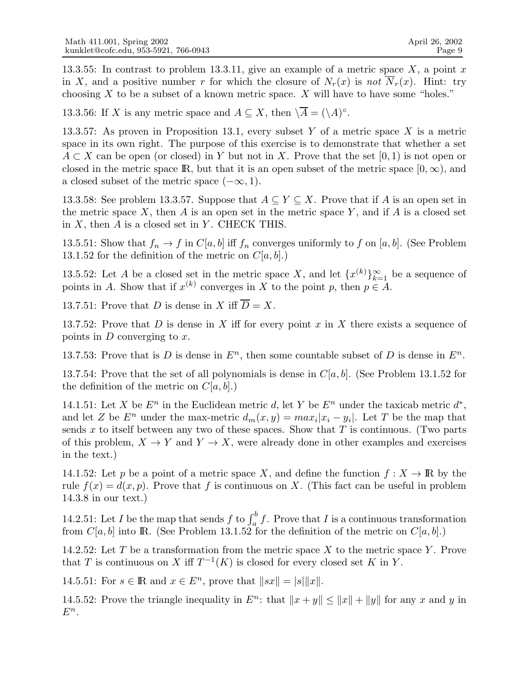13.3.55: In contrast to problem 13.3.11, give an example of a metric space  $X$ , a point x in X, and a positive number r for which the closure of  $N_r(x)$  is not  $\overline{N}_r(x)$ . Hint: try choosing  $X$  to be a subset of a known metric space.  $X$  will have to have some "holes."

13.3.56: If X is any metric space and  $A \subseteq X$ , then  $\overline{\setminus A} = (\setminus A)^{\circ}$ .

13.3.57: As proven in Proposition 13.1, every subset Y of a metric space X is a metric space in its own right. The purpose of this exercise is to demonstrate that whether a set  $A \subset X$  can be open (or closed) in Y but not in X. Prove that the set [0, 1) is not open or closed in the metric space R, but that it is an open subset of the metric space  $[0, \infty)$ , and a closed subset of the metric space  $(-\infty, 1)$ .

13.3.58: See problem 13.3.57. Suppose that  $A \subseteq Y \subseteq X$ . Prove that if A is an open set in the metric space X, then A is an open set in the metric space Y, and if A is a closed set in  $X$ , then  $A$  is a closed set in  $Y$ . CHECK THIS.

13.5.51: Show that  $f_n \to f$  in  $C[a, b]$  iff  $f_n$  converges uniformly to f on [a, b]. (See Problem 13.1.52 for the definition of the metric on  $C[a, b]$ .)

13.5.52: Let A be a closed set in the metric space X, and let  $\{x^{(k)}\}_{k=1}^{\infty}$  be a sequence of points in A. Show that if  $x^{(k)}$  converges in X to the point p, then  $p \in A$ .

13.7.51: Prove that D is dense in X iff  $\overline{D} = X$ .

13.7.52: Prove that D is dense in X iff for every point x in X there exists a sequence of points in  $D$  converging to  $x$ .

13.7.53: Prove that is D is dense in  $E<sup>n</sup>$ , then some countable subset of D is dense in  $E<sup>n</sup>$ .

13.7.54: Prove that the set of all polynomials is dense in  $C[a, b]$ . (See Problem 13.1.52 for the definition of the metric on  $C[a, b]$ .

14.1.51: Let X be  $E^n$  in the Euclidean metric d, let Y be  $E^n$  under the taxicab metric  $d^*$ , and let Z be  $E^n$  under the max-metric  $d_m(x, y) = max_i |x_i - y_i|$ . Let T be the map that sends x to itself between any two of these spaces. Show that  $T$  is continuous. (Two parts of this problem,  $X \to Y$  and  $Y \to X$ , were already done in other examples and exercises in the text.)

14.1.52: Let p be a point of a metric space X, and define the function  $f: X \to \mathbb{R}$  by the rule  $f(x) = d(x, p)$ . Prove that f is continuous on X. (This fact can be useful in problem 14.3.8 in our text.)

14.2.51: Let I be the map that sends f to  $\int_a^b f$ . Prove that I is a continuous transformation from  $C[a, b]$  into R. (See Problem 13.1.52 for the definition of the metric on  $C[a, b]$ .)

14.2.52: Let T be a transformation from the metric space X to the metric space Y. Prove that T is continuous on X iff  $T^{-1}(K)$  is closed for every closed set K in Y.

14.5.51: For  $s \in \mathbb{R}$  and  $x \in E^n$ , prove that  $||sx|| = |s| ||x||$ .

14.5.52: Prove the triangle inequality in  $E^n$ : that  $||x + y|| \le ||x|| + ||y||$  for any x and y in  $E^n$ .